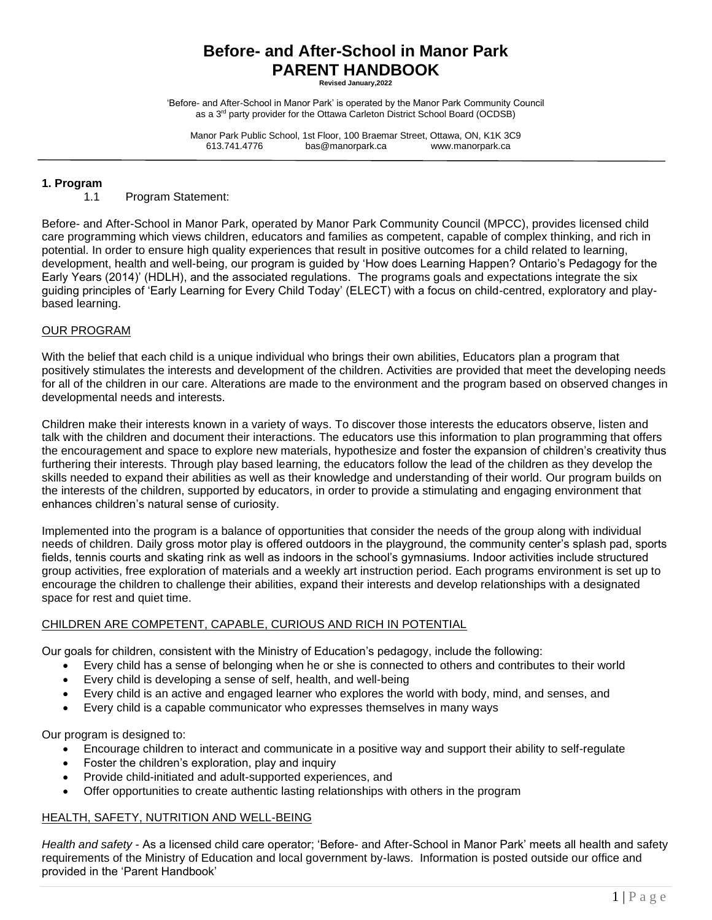# **Before- and After-School in Manor Park PARENT HANDBOOK**

**Revised January,2022**

'Before- and After-School in Manor Park' is operated by the Manor Park Community Council as a 3rd party provider for the Ottawa Carleton District School Board (OCDSB)

Manor Park Public School, 1st Floor, 100 Braemar Street, Ottawa, ON, K1K 3C9 613.741.4776 bas@manorpark.ca www.manorpark.ca

## **1. Program**

1.1 Program Statement:

Before- and After-School in Manor Park, operated by Manor Park Community Council (MPCC), provides licensed child care programming which views children, educators and families as competent, capable of complex thinking, and rich in potential. In order to ensure high quality experiences that result in positive outcomes for a child related to learning, development, health and well-being, our program is guided by 'How does Learning Happen? Ontario's Pedagogy for the Early Years (2014)' (HDLH), and the associated regulations.The programs goals and expectations integrate the six guiding principles of 'Early Learning for Every Child Today' (ELECT) with a focus on child-centred, exploratory and playbased learning.

## OUR PROGRAM

With the belief that each child is a unique individual who brings their own abilities, Educators plan a program that positively stimulates the interests and development of the children. Activities are provided that meet the developing needs for all of the children in our care. Alterations are made to the environment and the program based on observed changes in developmental needs and interests.

Children make their interests known in a variety of ways. To discover those interests the educators observe, listen and talk with the children and document their interactions. The educators use this information to plan programming that offers the encouragement and space to explore new materials, hypothesize and foster the expansion of children's creativity thus furthering their interests. Through play based learning, the educators follow the lead of the children as they develop the skills needed to expand their abilities as well as their knowledge and understanding of their world. Our program builds on the interests of the children, supported by educators, in order to provide a stimulating and engaging environment that enhances children's natural sense of curiosity.

Implemented into the program is a balance of opportunities that consider the needs of the group along with individual needs of children. Daily gross motor play is offered outdoors in the playground, the community center's splash pad, sports fields, tennis courts and skating rink as well as indoors in the school's gymnasiums. Indoor activities include structured group activities, free exploration of materials and a weekly art instruction period. Each programs environment is set up to encourage the children to challenge their abilities, expand their interests and develop relationships with a designated space for rest and quiet time.

## CHILDREN ARE COMPETENT, CAPABLE, CURIOUS AND RICH IN POTENTIAL

Our goals for children, consistent with the Ministry of Education's pedagogy, include the following:

- Every child has a sense of belonging when he or she is connected to others and contributes to their world
- Every child is developing a sense of self, health, and well-being
- Every child is an active and engaged learner who explores the world with body, mind, and senses, and
- Every child is a capable communicator who expresses themselves in many ways

Our program is designed to:

- Encourage children to interact and communicate in a positive way and support their ability to self-regulate
- Foster the children's exploration, play and inquiry
- Provide child-initiated and adult-supported experiences, and
- Offer opportunities to create authentic lasting relationships with others in the program

## HEALTH, SAFETY, NUTRITION AND WELL-BEING

*Health and safety* - As a licensed child care operator; 'Before- and After-School in Manor Park' meets all health and safety requirements of the Ministry of Education and local government by-laws. Information is posted outside our office and provided in the 'Parent Handbook'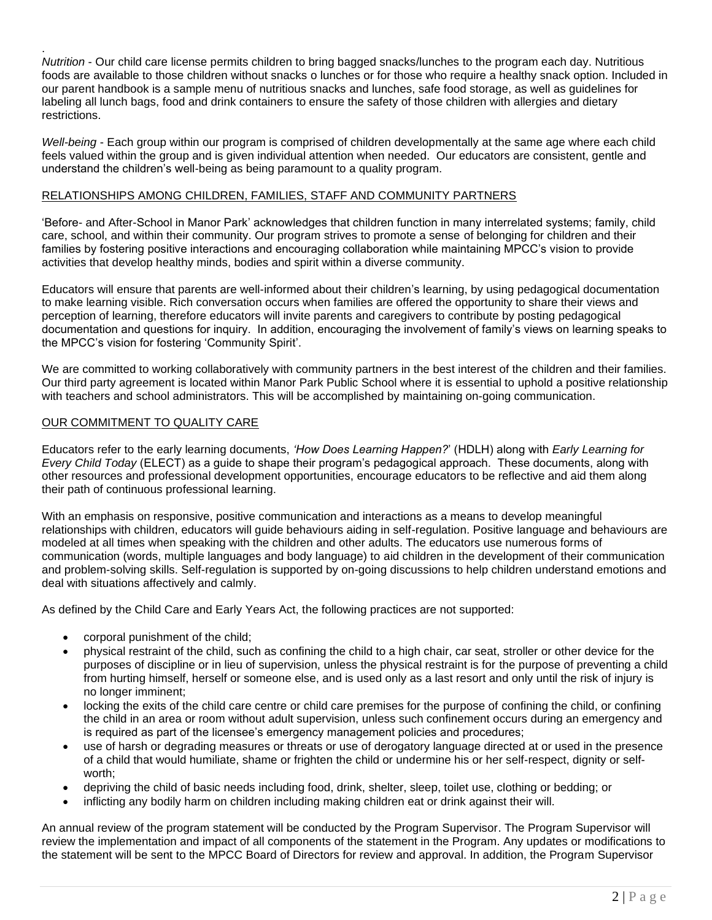. *Nutrition* - Our child care license permits children to bring bagged snacks/lunches to the program each day. Nutritious foods are available to those children without snacks o lunches or for those who require a healthy snack option. Included in our parent handbook is a sample menu of nutritious snacks and lunches, safe food storage, as well as guidelines for labeling all lunch bags, food and drink containers to ensure the safety of those children with allergies and dietary restrictions.

*Well-being* - Each group within our program is comprised of children developmentally at the same age where each child feels valued within the group and is given individual attention when needed. Our educators are consistent, gentle and understand the children's well-being as being paramount to a quality program.

## RELATIONSHIPS AMONG CHILDREN, FAMILIES, STAFF AND COMMUNITY PARTNERS

'Before- and After-School in Manor Park' acknowledges that children function in many interrelated systems; family, child care, school, and within their community. Our program strives to promote a sense of belonging for children and their families by fostering positive interactions and encouraging collaboration while maintaining MPCC's vision to provide activities that develop healthy minds, bodies and spirit within a diverse community.

Educators will ensure that parents are well-informed about their children's learning, by using pedagogical documentation to make learning visible. Rich conversation occurs when families are offered the opportunity to share their views and perception of learning, therefore educators will invite parents and caregivers to contribute by posting pedagogical documentation and questions for inquiry. In addition, encouraging the involvement of family's views on learning speaks to the MPCC's vision for fostering 'Community Spirit'.

We are committed to working collaboratively with community partners in the best interest of the children and their families. Our third party agreement is located within Manor Park Public School where it is essential to uphold a positive relationship with teachers and school administrators. This will be accomplished by maintaining on-going communication.

## OUR COMMITMENT TO QUALITY CARE

Educators refer to the early learning documents, *'How Does Learning Happen?*' (HDLH) along with *Early Learning for Every Child Today* (ELECT) as a guide to shape their program's pedagogical approach. These documents, along with other resources and professional development opportunities, encourage educators to be reflective and aid them along their path of continuous professional learning.

With an emphasis on responsive, positive communication and interactions as a means to develop meaningful relationships with children, educators will guide behaviours aiding in self-regulation. Positive language and behaviours are modeled at all times when speaking with the children and other adults. The educators use numerous forms of communication (words, multiple languages and body language) to aid children in the development of their communication and problem-solving skills. Self-regulation is supported by on-going discussions to help children understand emotions and deal with situations affectively and calmly.

As defined by the Child Care and Early Years Act, the following practices are not supported:

- corporal punishment of the child;
- physical restraint of the child, such as confining the child to a high chair, car seat, stroller or other device for the purposes of discipline or in lieu of supervision, unless the physical restraint is for the purpose of preventing a child from hurting himself, herself or someone else, and is used only as a last resort and only until the risk of injury is no longer imminent;
- locking the exits of the child care centre or child care premises for the purpose of confining the child, or confining the child in an area or room without adult supervision, unless such confinement occurs during an emergency and is required as part of the licensee's emergency management policies and procedures;
- use of harsh or degrading measures or threats or use of derogatory language directed at or used in the presence of a child that would humiliate, shame or frighten the child or undermine his or her self-respect, dignity or selfworth;
- depriving the child of basic needs including food, drink, shelter, sleep, toilet use, clothing or bedding; or
- inflicting any bodily harm on children including making children eat or drink against their will.

An annual review of the program statement will be conducted by the Program Supervisor. The Program Supervisor will review the implementation and impact of all components of the statement in the Program. Any updates or modifications to the statement will be sent to the MPCC Board of Directors for review and approval. In addition, the Program Supervisor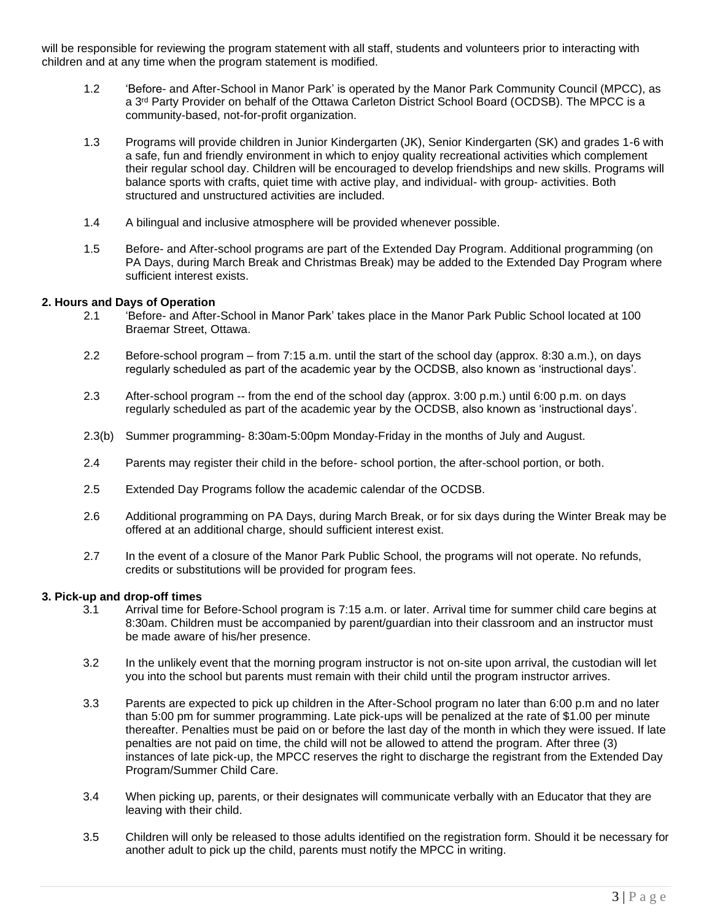will be responsible for reviewing the program statement with all staff, students and volunteers prior to interacting with children and at any time when the program statement is modified.

- 1.2 'Before- and After-School in Manor Park' is operated by the Manor Park Community Council (MPCC), as a 3<sup>rd</sup> Party Provider on behalf of the Ottawa Carleton District School Board (OCDSB). The MPCC is a community-based, not-for-profit organization.
- 1.3 Programs will provide children in Junior Kindergarten (JK), Senior Kindergarten (SK) and grades 1-6 with a safe, fun and friendly environment in which to enjoy quality recreational activities which complement their regular school day. Children will be encouraged to develop friendships and new skills. Programs will balance sports with crafts, quiet time with active play, and individual- with group- activities. Both structured and unstructured activities are included.
- 1.4 A bilingual and inclusive atmosphere will be provided whenever possible.
- 1.5 Before- and After-school programs are part of the Extended Day Program. Additional programming (on PA Days, during March Break and Christmas Break) may be added to the Extended Day Program where sufficient interest exists.

## **2. Hours and Days of Operation**

- 2.1 'Before- and After-School in Manor Park' takes place in the Manor Park Public School located at 100 Braemar Street, Ottawa.
- 2.2 Before-school program from 7:15 a.m. until the start of the school day (approx. 8:30 a.m.), on days regularly scheduled as part of the academic year by the OCDSB, also known as 'instructional days'.
- 2.3 After-school program -- from the end of the school day (approx. 3:00 p.m.) until 6:00 p.m. on days regularly scheduled as part of the academic year by the OCDSB, also known as 'instructional days'.
- 2.3(b) Summer programming- 8:30am-5:00pm Monday-Friday in the months of July and August.
- 2.4 Parents may register their child in the before- school portion, the after-school portion, or both.
- 2.5 Extended Day Programs follow the academic calendar of the OCDSB.
- 2.6 Additional programming on PA Days, during March Break, or for six days during the Winter Break may be offered at an additional charge, should sufficient interest exist.
- 2.7 In the event of a closure of the Manor Park Public School, the programs will not operate. No refunds, credits or substitutions will be provided for program fees.

## **3. Pick-up and drop-off times**

- 3.1 Arrival time for Before-School program is 7:15 a.m. or later. Arrival time for summer child care begins at 8:30am. Children must be accompanied by parent/guardian into their classroom and an instructor must be made aware of his/her presence.
- 3.2 In the unlikely event that the morning program instructor is not on-site upon arrival, the custodian will let you into the school but parents must remain with their child until the program instructor arrives.
- 3.3 Parents are expected to pick up children in the After-School program no later than 6:00 p.m and no later than 5:00 pm for summer programming. Late pick-ups will be penalized at the rate of \$1.00 per minute thereafter. Penalties must be paid on or before the last day of the month in which they were issued. If late penalties are not paid on time, the child will not be allowed to attend the program. After three (3) instances of late pick-up, the MPCC reserves the right to discharge the registrant from the Extended Day Program/Summer Child Care.
- 3.4 When picking up, parents, or their designates will communicate verbally with an Educator that they are leaving with their child.
- 3.5 Children will only be released to those adults identified on the registration form. Should it be necessary for another adult to pick up the child, parents must notify the MPCC in writing.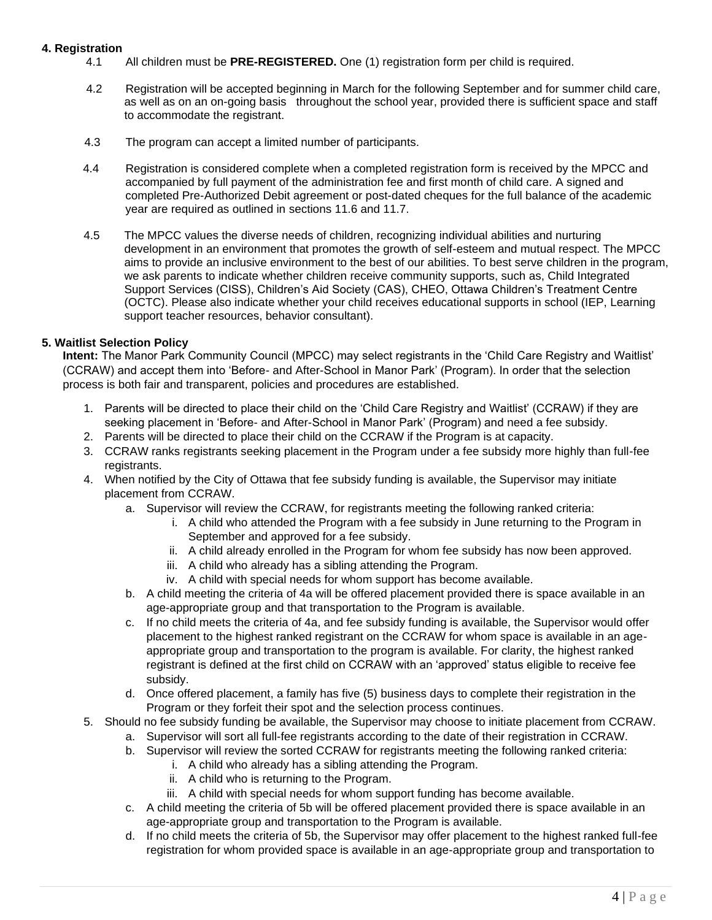## **4. Registration**

- 4.1 All children must be **PRE-REGISTERED.** One (1) registration form per child is required.
- 4.2 Registration will be accepted beginning in March for the following September and for summer child care, as well as on an on-going basis throughout the school year, provided there is sufficient space and staff to accommodate the registrant.
- 4.3 The program can accept a limited number of participants.
- 4.4 Registration is considered complete when a completed registration form is received by the MPCC and accompanied by full payment of the administration fee and first month of child care. A signed and completed Pre-Authorized Debit agreement or post-dated cheques for the full balance of the academic year are required as outlined in sections 11.6 and 11.7.
- 4.5 The MPCC values the diverse needs of children, recognizing individual abilities and nurturing development in an environment that promotes the growth of self-esteem and mutual respect. The MPCC aims to provide an inclusive environment to the best of our abilities. To best serve children in the program, we ask parents to indicate whether children receive community supports, such as, Child Integrated Support Services (CISS), Children's Aid Society (CAS), CHEO, Ottawa Children's Treatment Centre (OCTC). Please also indicate whether your child receives educational supports in school (IEP, Learning support teacher resources, behavior consultant).

## **5. Waitlist Selection Policy**

**Intent:** The Manor Park Community Council (MPCC) may select registrants in the 'Child Care Registry and Waitlist' (CCRAW) and accept them into 'Before- and After-School in Manor Park' (Program). In order that the selection process is both fair and transparent, policies and procedures are established.

- 1. Parents will be directed to place their child on the 'Child Care Registry and Waitlist' (CCRAW) if they are seeking placement in 'Before- and After-School in Manor Park' (Program) and need a fee subsidy.
- 2. Parents will be directed to place their child on the CCRAW if the Program is at capacity.
- 3. CCRAW ranks registrants seeking placement in the Program under a fee subsidy more highly than full-fee registrants.
- 4. When notified by the City of Ottawa that fee subsidy funding is available, the Supervisor may initiate placement from CCRAW.
	- a. Supervisor will review the CCRAW, for registrants meeting the following ranked criteria:
		- i. A child who attended the Program with a fee subsidy in June returning to the Program in September and approved for a fee subsidy.
		- ii. A child already enrolled in the Program for whom fee subsidy has now been approved.
		- iii. A child who already has a sibling attending the Program.
		- iv. A child with special needs for whom support has become available.
	- b. A child meeting the criteria of 4a will be offered placement provided there is space available in an age-appropriate group and that transportation to the Program is available.
	- c. If no child meets the criteria of 4a, and fee subsidy funding is available, the Supervisor would offer placement to the highest ranked registrant on the CCRAW for whom space is available in an ageappropriate group and transportation to the program is available. For clarity, the highest ranked registrant is defined at the first child on CCRAW with an 'approved' status eligible to receive fee subsidy.
	- d. Once offered placement, a family has five (5) business days to complete their registration in the Program or they forfeit their spot and the selection process continues.
- 5. Should no fee subsidy funding be available, the Supervisor may choose to initiate placement from CCRAW.
	- a. Supervisor will sort all full-fee registrants according to the date of their registration in CCRAW.
	- b. Supervisor will review the sorted CCRAW for registrants meeting the following ranked criteria:
		- i. A child who already has a sibling attending the Program.
		- ii. A child who is returning to the Program.
		- iii. A child with special needs for whom support funding has become available.
	- c. A child meeting the criteria of 5b will be offered placement provided there is space available in an age-appropriate group and transportation to the Program is available.
	- d. If no child meets the criteria of 5b, the Supervisor may offer placement to the highest ranked full-fee registration for whom provided space is available in an age-appropriate group and transportation to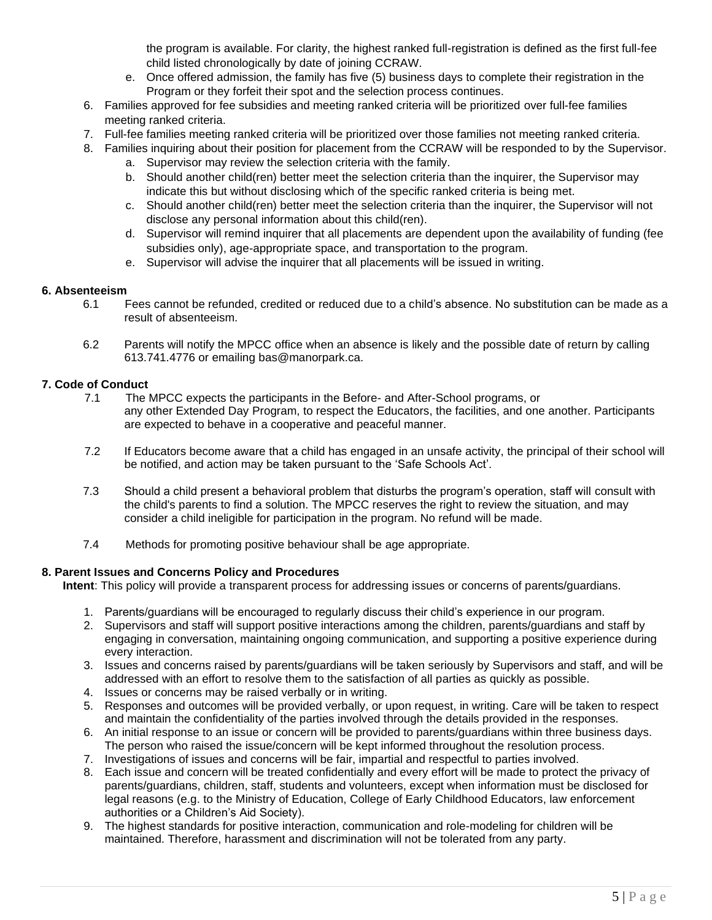the program is available. For clarity, the highest ranked full-registration is defined as the first full-fee child listed chronologically by date of joining CCRAW.

- e. Once offered admission, the family has five (5) business days to complete their registration in the Program or they forfeit their spot and the selection process continues.
- 6. Families approved for fee subsidies and meeting ranked criteria will be prioritized over full-fee families meeting ranked criteria.
- 7. Full-fee families meeting ranked criteria will be prioritized over those families not meeting ranked criteria.
- 8. Families inquiring about their position for placement from the CCRAW will be responded to by the Supervisor.
	- a. Supervisor may review the selection criteria with the family.
	- b. Should another child(ren) better meet the selection criteria than the inquirer, the Supervisor may indicate this but without disclosing which of the specific ranked criteria is being met.
	- c. Should another child(ren) better meet the selection criteria than the inquirer, the Supervisor will not disclose any personal information about this child(ren).
	- d. Supervisor will remind inquirer that all placements are dependent upon the availability of funding (fee subsidies only), age-appropriate space, and transportation to the program.
	- e. Supervisor will advise the inquirer that all placements will be issued in writing.

## **6. Absenteeism**

- 6.1 Fees cannot be refunded, credited or reduced due to a child's absence. No substitution can be made as a result of absenteeism.
- 6.2 Parents will notify the MPCC office when an absence is likely and the possible date of return by calling 613.741.4776 or emailing bas@manorpark.ca.

## **7. Code of Conduct**

- 7.1 The MPCC expects the participants in the Before- and After-School programs, or any other Extended Day Program, to respect the Educators, the facilities, and one another. Participants are expected to behave in a cooperative and peaceful manner.
- 7.2 If Educators become aware that a child has engaged in an unsafe activity, the principal of their school will be notified, and action may be taken pursuant to the 'Safe Schools Act'.
- 7.3 Should a child present a behavioral problem that disturbs the program's operation, staff will consult with the child's parents to find a solution. The MPCC reserves the right to review the situation, and may consider a child ineligible for participation in the program. No refund will be made.
- 7.4 Methods for promoting positive behaviour shall be age appropriate.

# **8. Parent Issues and Concerns Policy and Procedures**

**Intent**: This policy will provide a transparent process for addressing issues or concerns of parents/guardians.

- 1. Parents/guardians will be encouraged to regularly discuss their child's experience in our program.
- 2. Supervisors and staff will support positive interactions among the children, parents/guardians and staff by engaging in conversation, maintaining ongoing communication, and supporting a positive experience during every interaction.
- 3. Issues and concerns raised by parents/guardians will be taken seriously by Supervisors and staff, and will be addressed with an effort to resolve them to the satisfaction of all parties as quickly as possible.
- 4. Issues or concerns may be raised verbally or in writing.
- 5. Responses and outcomes will be provided verbally, or upon request, in writing. Care will be taken to respect and maintain the confidentiality of the parties involved through the details provided in the responses.
- 6. An initial response to an issue or concern will be provided to parents/guardians within three business days. The person who raised the issue/concern will be kept informed throughout the resolution process.
- 7. Investigations of issues and concerns will be fair, impartial and respectful to parties involved.
- 8. Each issue and concern will be treated confidentially and every effort will be made to protect the privacy of parents/guardians, children, staff, students and volunteers, except when information must be disclosed for legal reasons (e.g. to the Ministry of Education, College of Early Childhood Educators, law enforcement authorities or a Children's Aid Society).
- 9. The highest standards for positive interaction, communication and role-modeling for children will be maintained. Therefore, harassment and discrimination will not be tolerated from any party.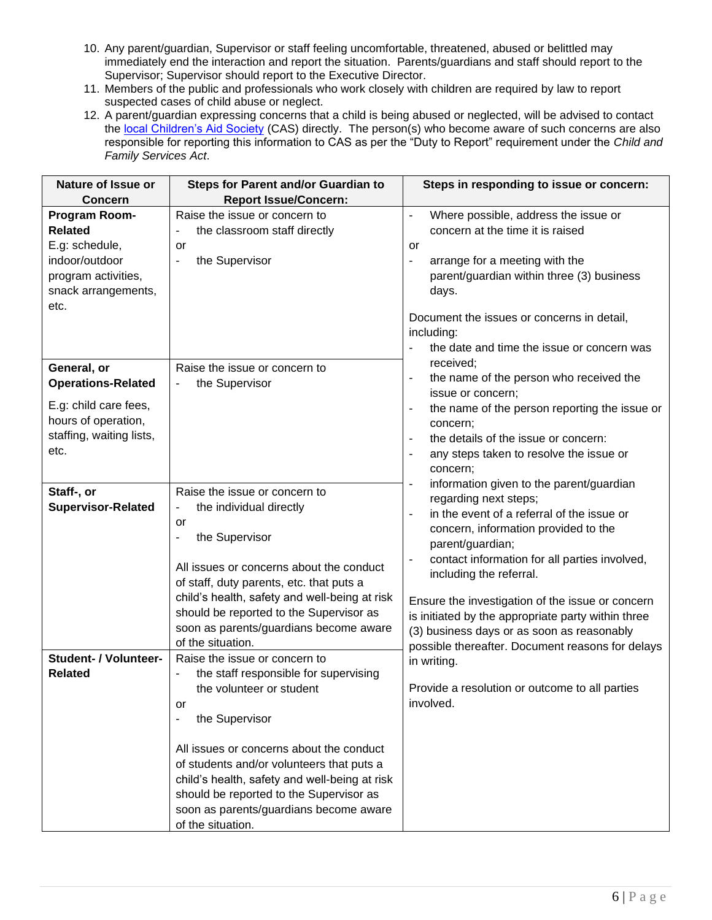- 10. Any parent/guardian, Supervisor or staff feeling uncomfortable, threatened, abused or belittled may immediately end the interaction and report the situation. Parents/guardians and staff should report to the Supervisor; Supervisor should report to the Executive Director.
- 11. Members of the public and professionals who work closely with children are required by law to report suspected cases of child abuse or neglect.
- 12. A parent/guardian expressing concerns that a child is being abused or neglected, will be advised to contact the [local Children's Aid Society](http://www.children.gov.on.ca/htdocs/English/childrensaid/reportingabuse/CASLocations.aspx) (CAS) directly. The person(s) who become aware of such concerns are also responsible for reporting this information to CAS as per the "Duty to Report" requirement under the *Child and Family Services Act*.

| Nature of Issue or                                                                                                           | <b>Steps for Parent and/or Guardian to</b>                                                                                                                                                                                                                                                                                                                                          | Steps in responding to issue or concern:                                                                                                                                                                                                                                                                                                                                                                                                                                                                                                                                                                                                                                                                                                                                                                                                                                                                                                                                                                                                                                                                                      |  |
|------------------------------------------------------------------------------------------------------------------------------|-------------------------------------------------------------------------------------------------------------------------------------------------------------------------------------------------------------------------------------------------------------------------------------------------------------------------------------------------------------------------------------|-------------------------------------------------------------------------------------------------------------------------------------------------------------------------------------------------------------------------------------------------------------------------------------------------------------------------------------------------------------------------------------------------------------------------------------------------------------------------------------------------------------------------------------------------------------------------------------------------------------------------------------------------------------------------------------------------------------------------------------------------------------------------------------------------------------------------------------------------------------------------------------------------------------------------------------------------------------------------------------------------------------------------------------------------------------------------------------------------------------------------------|--|
| <b>Concern</b>                                                                                                               | <b>Report Issue/Concern:</b>                                                                                                                                                                                                                                                                                                                                                        |                                                                                                                                                                                                                                                                                                                                                                                                                                                                                                                                                                                                                                                                                                                                                                                                                                                                                                                                                                                                                                                                                                                               |  |
| Program Room-<br><b>Related</b><br>E.g: schedule,<br>indoor/outdoor<br>program activities,<br>snack arrangements,<br>etc.    | Raise the issue or concern to<br>the classroom staff directly<br>$\overline{a}$<br>or<br>the Supervisor<br>÷,                                                                                                                                                                                                                                                                       | Where possible, address the issue or<br>$\blacksquare$<br>concern at the time it is raised<br><b>or</b><br>arrange for a meeting with the<br>$\overline{\phantom{a}}$<br>parent/guardian within three (3) business<br>days.<br>Document the issues or concerns in detail,<br>including:<br>the date and time the issue or concern was<br>received;<br>the name of the person who received the<br>$\blacksquare$<br>issue or concern;<br>the name of the person reporting the issue or<br>concern;<br>the details of the issue or concern:<br>$\blacksquare$<br>any steps taken to resolve the issue or<br>concern;<br>information given to the parent/guardian<br>regarding next steps;<br>in the event of a referral of the issue or<br>$\blacksquare$<br>concern, information provided to the<br>parent/guardian;<br>contact information for all parties involved,<br>$\blacksquare$<br>including the referral.<br>Ensure the investigation of the issue or concern<br>is initiated by the appropriate party within three<br>(3) business days or as soon as reasonably<br>possible thereafter. Document reasons for delays |  |
| General, or<br><b>Operations-Related</b><br>E.g: child care fees,<br>hours of operation,<br>staffing, waiting lists,<br>etc. | Raise the issue or concern to<br>the Supervisor<br>$\overline{\phantom{a}}$                                                                                                                                                                                                                                                                                                         |                                                                                                                                                                                                                                                                                                                                                                                                                                                                                                                                                                                                                                                                                                                                                                                                                                                                                                                                                                                                                                                                                                                               |  |
| Staff-, or<br><b>Supervisor-Related</b>                                                                                      | Raise the issue or concern to<br>the individual directly<br>or<br>the Supervisor<br>÷<br>All issues or concerns about the conduct<br>of staff, duty parents, etc. that puts a<br>child's health, safety and well-being at risk<br>should be reported to the Supervisor as<br>soon as parents/guardians become aware<br>of the situation.                                            |                                                                                                                                                                                                                                                                                                                                                                                                                                                                                                                                                                                                                                                                                                                                                                                                                                                                                                                                                                                                                                                                                                                               |  |
| Student- / Volunteer-<br><b>Related</b>                                                                                      | Raise the issue or concern to<br>the staff responsible for supervising<br>the volunteer or student<br>or<br>the Supervisor<br>÷<br>All issues or concerns about the conduct<br>of students and/or volunteers that puts a<br>child's health, safety and well-being at risk<br>should be reported to the Supervisor as<br>soon as parents/guardians become aware<br>of the situation. | in writing.<br>Provide a resolution or outcome to all parties<br>involved.                                                                                                                                                                                                                                                                                                                                                                                                                                                                                                                                                                                                                                                                                                                                                                                                                                                                                                                                                                                                                                                    |  |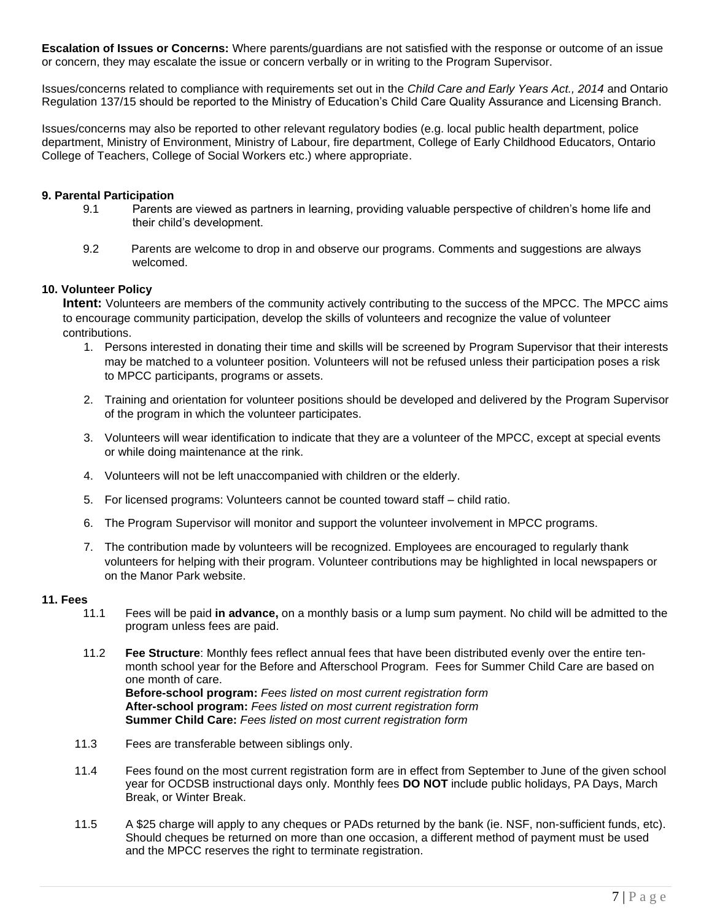**Escalation of Issues or Concerns:** Where parents/guardians are not satisfied with the response or outcome of an issue or concern, they may escalate the issue or concern verbally or in writing to the Program Supervisor.

Issues/concerns related to compliance with requirements set out in the *Child Care and Early Years Act., 2014* and Ontario Regulation 137/15 should be reported to the Ministry of Education's Child Care Quality Assurance and Licensing Branch.

Issues/concerns may also be reported to other relevant regulatory bodies (e.g. local public health department, police department, Ministry of Environment, Ministry of Labour, fire department, College of Early Childhood Educators, Ontario College of Teachers, College of Social Workers etc.) where appropriate.

## **9. Parental Participation**

- 9.1 Parents are viewed as partners in learning, providing valuable perspective of children's home life and their child's development.
- 9.2 Parents are welcome to drop in and observe our programs. Comments and suggestions are always welcomed.

## **10. Volunteer Policy**

**Intent:** Volunteers are members of the community actively contributing to the success of the MPCC. The MPCC aims to encourage community participation, develop the skills of volunteers and recognize the value of volunteer contributions.

- 1. Persons interested in donating their time and skills will be screened by Program Supervisor that their interests may be matched to a volunteer position. Volunteers will not be refused unless their participation poses a risk to MPCC participants, programs or assets.
- 2. Training and orientation for volunteer positions should be developed and delivered by the Program Supervisor of the program in which the volunteer participates.
- 3. Volunteers will wear identification to indicate that they are a volunteer of the MPCC, except at special events or while doing maintenance at the rink.
- 4. Volunteers will not be left unaccompanied with children or the elderly.
- 5. For licensed programs: Volunteers cannot be counted toward staff child ratio.
- 6. The Program Supervisor will monitor and support the volunteer involvement in MPCC programs.
- 7. The contribution made by volunteers will be recognized. Employees are encouraged to regularly thank volunteers for helping with their program. Volunteer contributions may be highlighted in local newspapers or on the Manor Park website.

## **11. Fees**

- 11.1 Fees will be paid **in advance,** on a monthly basis or a lump sum payment. No child will be admitted to the program unless fees are paid.
- 11.2 **Fee Structure**: Monthly fees reflect annual fees that have been distributed evenly over the entire tenmonth school year for the Before and Afterschool Program. Fees for Summer Child Care are based on one month of care. **Before-school program:** *Fees listed on most current registration form* **After-school program:** *Fees listed on most current registration form* **Summer Child Care:** *Fees listed on most current registration form*
- 11.3 Fees are transferable between siblings only.
- 11.4 Fees found on the most current registration form are in effect from September to June of the given school year for OCDSB instructional days only. Monthly fees **DO NOT** include public holidays, PA Days, March Break, or Winter Break.
- 11.5 A \$25 charge will apply to any cheques or PADs returned by the bank (ie. NSF, non-sufficient funds, etc). Should cheques be returned on more than one occasion, a different method of payment must be used and the MPCC reserves the right to terminate registration.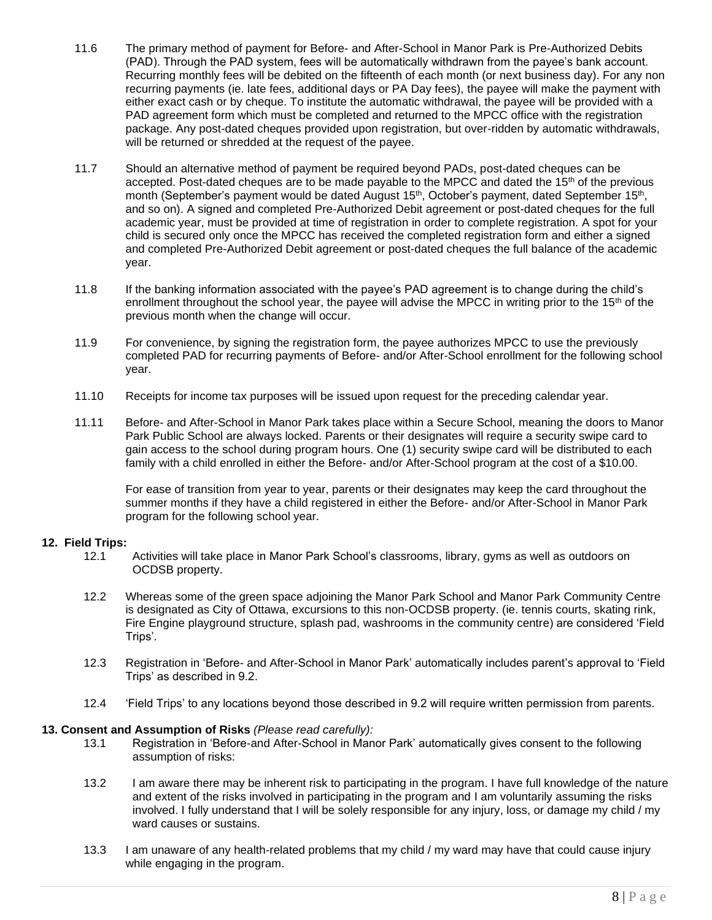- 11.6 The primary method of payment for Before- and After-School in Manor Park is Pre-Authorized Debits (PAD). Through the PAD system, fees will be automatically withdrawn from the payee's bank account. Recurring monthly fees will be debited on the fifteenth of each month (or next business day). For any non recurring payments (ie. late fees, additional days or PA Day fees), the payee will make the payment with either exact cash or by cheque. To institute the automatic withdrawal, the payee will be provided with a PAD agreement form which must be completed and returned to the MPCC office with the registration package. Any post-dated cheques provided upon registration, but over-ridden by automatic withdrawals, will be returned or shredded at the request of the payee.
- 11.7 Should an alternative method of payment be required beyond PADs, post-dated cheques can be accepted. Post-dated cheques are to be made payable to the MPCC and dated the  $15<sup>th</sup>$  of the previous month (September's payment would be dated August 15<sup>th</sup>, October's payment, dated September 15<sup>th</sup>, and so on). A signed and completed Pre-Authorized Debit agreement or post-dated cheques for the full academic year, must be provided at time of registration in order to complete registration. A spot for your child is secured only once the MPCC has received the completed registration form and either a signed and completed Pre-Authorized Debit agreement or post-dated cheques the full balance of the academic year.
- 11.8 If the banking information associated with the payee's PAD agreement is to change during the child's enrollment throughout the school year, the payee will advise the MPCC in writing prior to the  $15<sup>th</sup>$  of the previous month when the change will occur.
- 11.9 For convenience, by signing the registration form, the payee authorizes MPCC to use the previously completed PAD for recurring payments of Before- and/or After-School enrollment for the following school year.
- 11.10 Receipts for income tax purposes will be issued upon request for the preceding calendar year.
- 11.11 Before- and After-School in Manor Park takes place within a Secure School, meaning the doors to Manor Park Public School are always locked. Parents or their designates will require a security swipe card to gain access to the school during program hours. One (1) security swipe card will be distributed to each family with a child enrolled in either the Before- and/or After-School program at the cost of a \$10.00.

For ease of transition from year to year, parents or their designates may keep the card throughout the summer months if they have a child registered in either the Before- and/or After-School in Manor Park program for the following school year.

## **12. Field Trips:**

- 12.1 Activities will take place in Manor Park School's classrooms, library, gyms as well as outdoors on OCDSB property.
- 12.2 Whereas some of the green space adjoining the Manor Park School and Manor Park Community Centre is designated as City of Ottawa, excursions to this non-OCDSB property. (ie. tennis courts, skating rink, Fire Engine playground structure, splash pad, washrooms in the community centre) are considered 'Field Trips'.
- 12.3 Registration in 'Before- and After-School in Manor Park' automatically includes parent's approval to 'Field Trips' as described in 9.2.
- 12.4 'Field Trips' to any locations beyond those described in 9.2 will require written permission from parents.

## **13. Consent and Assumption of Risks** *(Please read carefully):*

- 13.1 Registration in 'Before-and After-School in Manor Park' automatically gives consent to the following assumption of risks:
- 13.2 I am aware there may be inherent risk to participating in the program. I have full knowledge of the nature and extent of the risks involved in participating in the program and I am voluntarily assuming the risks involved. I fully understand that I will be solely responsible for any injury, loss, or damage my child / my ward causes or sustains.
- 13.3 I am unaware of any health-related problems that my child / my ward may have that could cause injury while engaging in the program.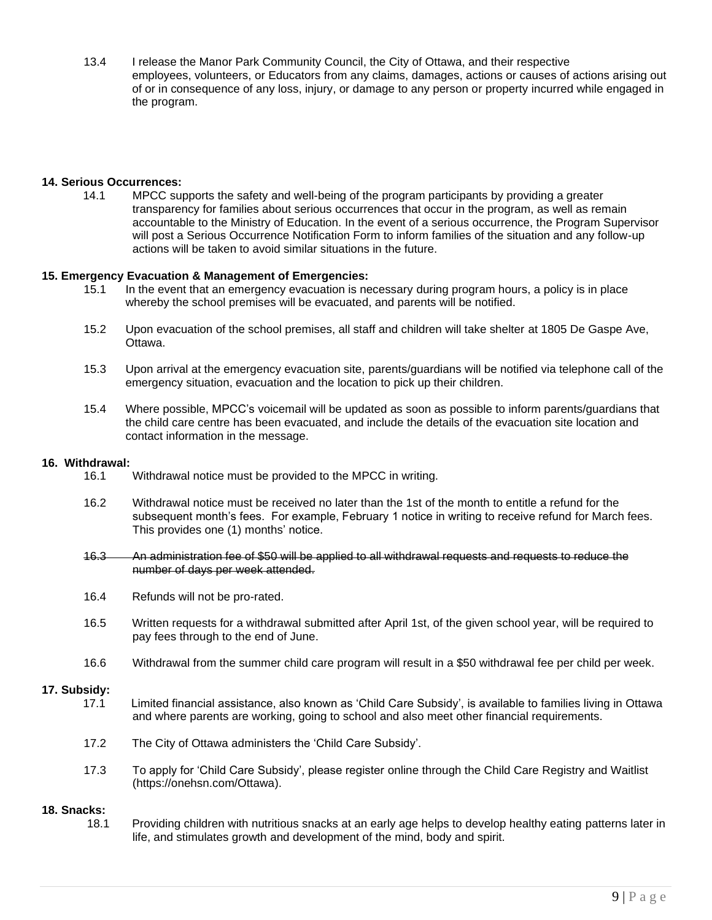13.4 I release the Manor Park Community Council, the City of Ottawa, and their respective employees, volunteers, or Educators from any claims, damages, actions or causes of actions arising out of or in consequence of any loss, injury, or damage to any person or property incurred while engaged in the program.

## **14. Serious Occurrences:**

14.1 MPCC supports the safety and well-being of the program participants by providing a greater transparency for families about serious occurrences that occur in the program, as well as remain accountable to the Ministry of Education. In the event of a serious occurrence, the Program Supervisor will post a Serious Occurrence Notification Form to inform families of the situation and any follow-up actions will be taken to avoid similar situations in the future.

## **15. Emergency Evacuation & Management of Emergencies:**

- 15.1 In the event that an emergency evacuation is necessary during program hours, a policy is in place whereby the school premises will be evacuated, and parents will be notified.
- 15.2 Upon evacuation of the school premises, all staff and children will take shelter at 1805 De Gaspe Ave, Ottawa.
- 15.3 Upon arrival at the emergency evacuation site, parents/guardians will be notified via telephone call of the emergency situation, evacuation and the location to pick up their children.
- 15.4 Where possible, MPCC's voicemail will be updated as soon as possible to inform parents/guardians that the child care centre has been evacuated, and include the details of the evacuation site location and contact information in the message.

#### **16. Withdrawal:**

- 16.1 Withdrawal notice must be provided to the MPCC in writing.
- 16.2 Withdrawal notice must be received no later than the 1st of the month to entitle a refund for the subsequent month's fees. For example, February 1 notice in writing to receive refund for March fees. This provides one (1) months' notice.
- 16.3 An administration fee of \$50 will be applied to all withdrawal requests and requests to reduce the number of days per week attended.
- 16.4 Refunds will not be pro-rated.
- 16.5 Written requests for a withdrawal submitted after April 1st, of the given school year, will be required to pay fees through to the end of June.
- 16.6 Withdrawal from the summer child care program will result in a \$50 withdrawal fee per child per week.

#### **17. Subsidy:**

- 17.1 Limited financial assistance, also known as 'Child Care Subsidy', is available to families living in Ottawa and where parents are working, going to school and also meet other financial requirements.
- 17.2 The City of Ottawa administers the 'Child Care Subsidy'.
- 17.3 To apply for 'Child Care Subsidy', please register online through the Child Care Registry and Waitlist (https://onehsn.com/Ottawa).

#### **18. Snacks:**

18.1 Providing children with nutritious snacks at an early age helps to develop healthy eating patterns later in life, and stimulates growth and development of the mind, body and spirit.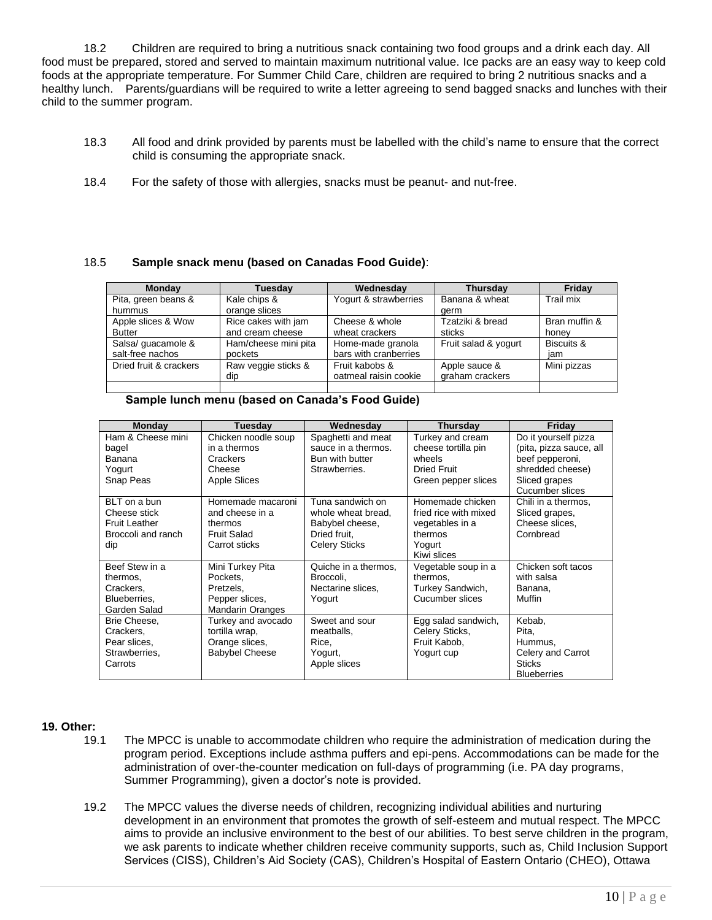18.2 Children are required to bring a nutritious snack containing two food groups and a drink each day. All food must be prepared, stored and served to maintain maximum nutritional value. Ice packs are an easy way to keep cold foods at the appropriate temperature. For Summer Child Care, children are required to bring 2 nutritious snacks and a healthy lunch. Parents/guardians will be required to write a letter agreeing to send bagged snacks and lunches with their child to the summer program.

- 18.3 All food and drink provided by parents must be labelled with the child's name to ensure that the correct child is consuming the appropriate snack.
- 18.4 For the safety of those with allergies, snacks must be peanut- and nut-free.

## 18.5 **Sample snack menu (based on Canadas Food Guide)**:

| <b>Monday</b>          | <b>Tuesdav</b>       | Wednesday             | <b>Thursday</b>      | Friday        |
|------------------------|----------------------|-----------------------|----------------------|---------------|
| Pita, green beans &    | Kale chips &         | Yogurt & strawberries | Banana & wheat       | Trail mix     |
| hummus                 | orange slices        |                       | aerm                 |               |
| Apple slices & Wow     | Rice cakes with jam  | Cheese & whole        | Tzatziki & bread     | Bran muffin & |
| <b>Butter</b>          | and cream cheese     | wheat crackers        | sticks               | honey         |
| Salsa/ guacamole &     | Ham/cheese mini pita | Home-made granola     | Fruit salad & yogurt | Biscuits &    |
| salt-free nachos       | pockets              | bars with cranberries |                      | iam           |
| Dried fruit & crackers | Raw veggie sticks &  | Fruit kabobs &        | Apple sauce &        | Mini pizzas   |
|                        | dip                  | oatmeal raisin cookie | graham crackers      |               |
|                        |                      |                       |                      |               |

## **Sample lunch menu (based on Canada's Food Guide)**

| <b>Monday</b>        | Tuesday                 | Wednesday            | <b>Thursday</b>       | Friday                  |
|----------------------|-------------------------|----------------------|-----------------------|-------------------------|
| Ham & Cheese mini    | Chicken noodle soup     | Spaghetti and meat   | Turkey and cream      | Do it yourself pizza    |
| bagel                | in a thermos            | sauce in a thermos.  | cheese tortilla pin   | (pita, pizza sauce, all |
| Banana               | Crackers                | Bun with butter      | wheels                | beef pepperoni,         |
| Yogurt               | Cheese                  | Strawberries.        | <b>Dried Fruit</b>    | shredded cheese)        |
| Snap Peas            | <b>Apple Slices</b>     |                      | Green pepper slices   | Sliced grapes           |
|                      |                         |                      |                       | Cucumber slices         |
| BLT on a bun         | Homemade macaroni       | Tuna sandwich on     | Homemade chicken      | Chili in a thermos,     |
| Cheese stick         | and cheese in a         | whole wheat bread.   | fried rice with mixed | Sliced grapes,          |
| <b>Fruit Leather</b> | thermos                 | Babybel cheese,      | vegetables in a       | Cheese slices,          |
| Broccoli and ranch   | Fruit Salad             | Dried fruit.         | thermos               | Cornbread               |
| dip                  | Carrot sticks           | <b>Celery Sticks</b> | Yogurt                |                         |
|                      |                         |                      | Kiwi slices           |                         |
| Beef Stew in a       | Mini Turkey Pita        | Quiche in a thermos, | Vegetable soup in a   | Chicken soft tacos      |
| thermos,             | Pockets.                | Broccoli.            | thermos,              | with salsa              |
| Crackers,            | Pretzels.               | Nectarine slices,    | Turkey Sandwich,      | Banana,                 |
| Blueberries.         | Pepper slices,          | Yogurt               | Cucumber slices       | Muffin                  |
| Garden Salad         | <b>Mandarin Oranges</b> |                      |                       |                         |
| Brie Cheese,         | Turkey and avocado      | Sweet and sour       | Egg salad sandwich,   | Kebab,                  |
| Crackers,            | tortilla wrap,          | meatballs,           | Celery Sticks,        | Pita,                   |
| Pear slices,         | Orange slices,          | Rice.                | Fruit Kabob.          | Hummus,                 |
| Strawberries,        | <b>Babybel Cheese</b>   | Yogurt,              | Yogurt cup            | Celery and Carrot       |
| Carrots              |                         | Apple slices         |                       | <b>Sticks</b>           |
|                      |                         |                      |                       | <b>Blueberries</b>      |

## **19. Other:**

- 19.1 The MPCC is unable to accommodate children who require the administration of medication during the program period. Exceptions include asthma puffers and epi-pens. Accommodations can be made for the administration of over-the-counter medication on full-days of programming (i.e. PA day programs, Summer Programming), given a doctor's note is provided.
- 19.2 The MPCC values the diverse needs of children, recognizing individual abilities and nurturing development in an environment that promotes the growth of self-esteem and mutual respect. The MPCC aims to provide an inclusive environment to the best of our abilities. To best serve children in the program, we ask parents to indicate whether children receive community supports, such as, Child Inclusion Support Services (CISS), Children's Aid Society (CAS), Children's Hospital of Eastern Ontario (CHEO), Ottawa